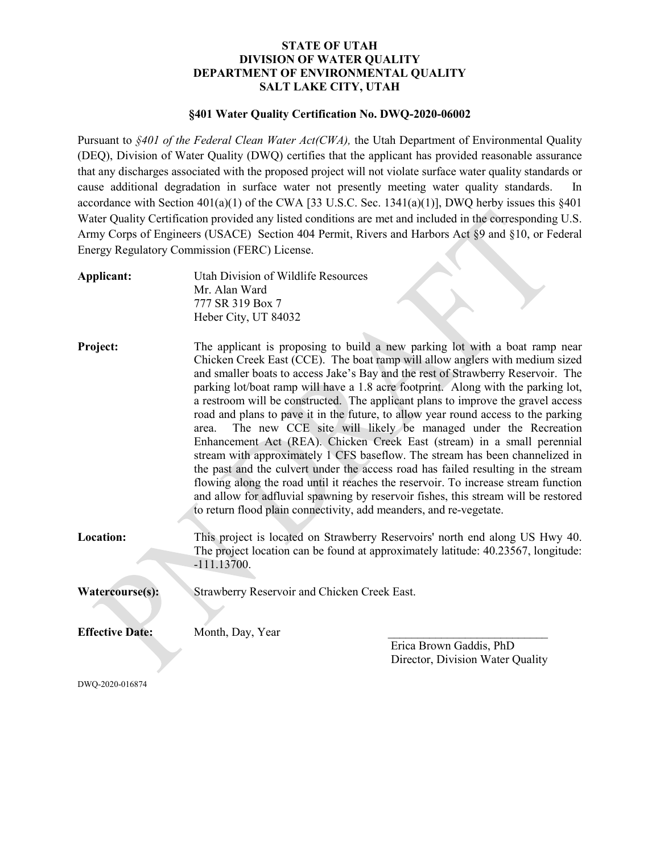#### **STATE OF UTAH DIVISION OF WATER QUALITY DEPARTMENT OF ENVIRONMENTAL QUALITY SALT LAKE CITY, UTAH**

#### **§401 Water Quality Certification No. DWQ-2020-06002**

Pursuant to *§401 of the Federal Clean Water Act(CWA),* the Utah Department of Environmental Quality (DEQ), Division of Water Quality (DWQ) certifies that the applicant has provided reasonable assurance that any discharges associated with the proposed project will not violate surface water quality standards or cause additional degradation in surface water not presently meeting water quality standards. In accordance with Section  $401(a)(1)$  of the CWA [33 U.S.C. Sec. 1341(a)(1)], DWQ herby issues this §401 Water Quality Certification provided any listed conditions are met and included in the corresponding U.S. Army Corps of Engineers (USACE) Section 404 Permit, Rivers and Harbors Act §9 and §10, or Federal Energy Regulatory Commission (FERC) License.

| Applicant:                                                      | Utah Division of Wildlife Resources                                                                                                                                                                                                                                                                                                                                                                                                                                                                                                                                                                                                                                                                                                                                                                                                                                                                                                                                                                                                                                                       |                                  |  |
|-----------------------------------------------------------------|-------------------------------------------------------------------------------------------------------------------------------------------------------------------------------------------------------------------------------------------------------------------------------------------------------------------------------------------------------------------------------------------------------------------------------------------------------------------------------------------------------------------------------------------------------------------------------------------------------------------------------------------------------------------------------------------------------------------------------------------------------------------------------------------------------------------------------------------------------------------------------------------------------------------------------------------------------------------------------------------------------------------------------------------------------------------------------------------|----------------------------------|--|
|                                                                 | Mr. Alan Ward                                                                                                                                                                                                                                                                                                                                                                                                                                                                                                                                                                                                                                                                                                                                                                                                                                                                                                                                                                                                                                                                             |                                  |  |
|                                                                 | 777 SR 319 Box 7                                                                                                                                                                                                                                                                                                                                                                                                                                                                                                                                                                                                                                                                                                                                                                                                                                                                                                                                                                                                                                                                          |                                  |  |
|                                                                 | Heber City, UT 84032                                                                                                                                                                                                                                                                                                                                                                                                                                                                                                                                                                                                                                                                                                                                                                                                                                                                                                                                                                                                                                                                      |                                  |  |
| Project:                                                        | The applicant is proposing to build a new parking lot with a boat ramp near<br>Chicken Creek East (CCE). The boat ramp will allow anglers with medium sized<br>and smaller boats to access Jake's Bay and the rest of Strawberry Reservoir. The<br>parking lot/boat ramp will have a 1.8 acre footprint. Along with the parking lot,<br>a restroom will be constructed. The applicant plans to improve the gravel access<br>road and plans to pave it in the future, to allow year round access to the parking<br>The new CCE site will likely be managed under the Recreation<br>area.<br>Enhancement Act (REA). Chicken Creek East (stream) in a small perennial<br>stream with approximately 1 CFS baseflow. The stream has been channelized in<br>the past and the culvert under the access road has failed resulting in the stream<br>flowing along the road until it reaches the reservoir. To increase stream function<br>and allow for adfluvial spawning by reservoir fishes, this stream will be restored<br>to return flood plain connectivity, add meanders, and re-vegetate. |                                  |  |
| <b>Location:</b>                                                | This project is located on Strawberry Reservoirs' north end along US Hwy 40.<br>The project location can be found at approximately latitude: 40.23567, longitude:<br>$-111.13700.$                                                                                                                                                                                                                                                                                                                                                                                                                                                                                                                                                                                                                                                                                                                                                                                                                                                                                                        |                                  |  |
| Watercourse(s):<br>Strawberry Reservoir and Chicken Creek East. |                                                                                                                                                                                                                                                                                                                                                                                                                                                                                                                                                                                                                                                                                                                                                                                                                                                                                                                                                                                                                                                                                           |                                  |  |
|                                                                 |                                                                                                                                                                                                                                                                                                                                                                                                                                                                                                                                                                                                                                                                                                                                                                                                                                                                                                                                                                                                                                                                                           |                                  |  |
| <b>Effective Date:</b>                                          | Month, Day, Year                                                                                                                                                                                                                                                                                                                                                                                                                                                                                                                                                                                                                                                                                                                                                                                                                                                                                                                                                                                                                                                                          |                                  |  |
|                                                                 |                                                                                                                                                                                                                                                                                                                                                                                                                                                                                                                                                                                                                                                                                                                                                                                                                                                                                                                                                                                                                                                                                           | Erica Brown Gaddis, PhD          |  |
|                                                                 |                                                                                                                                                                                                                                                                                                                                                                                                                                                                                                                                                                                                                                                                                                                                                                                                                                                                                                                                                                                                                                                                                           | Director, Division Water Quality |  |
| DWQ-2020-016874                                                 |                                                                                                                                                                                                                                                                                                                                                                                                                                                                                                                                                                                                                                                                                                                                                                                                                                                                                                                                                                                                                                                                                           |                                  |  |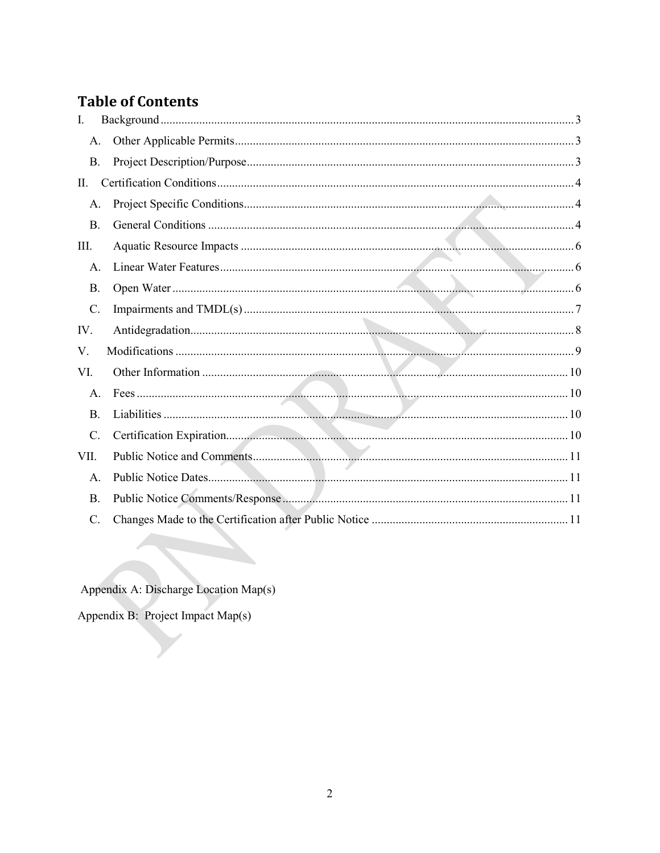# **Table of Contents**

| I.             |  |
|----------------|--|
| А.             |  |
| Β.             |  |
| II.            |  |
| А.             |  |
| <b>B.</b>      |  |
| III.           |  |
| A.             |  |
| <b>B.</b>      |  |
| C.             |  |
| IV.            |  |
| V.             |  |
| VI.            |  |
| $\mathsf{A}$ . |  |
| B.             |  |
| C.             |  |
| VII.           |  |
| A.             |  |
| Β.             |  |
| C.             |  |

Appendix A: Discharge Location Map(s)

Appendix B: Project Impact Map(s)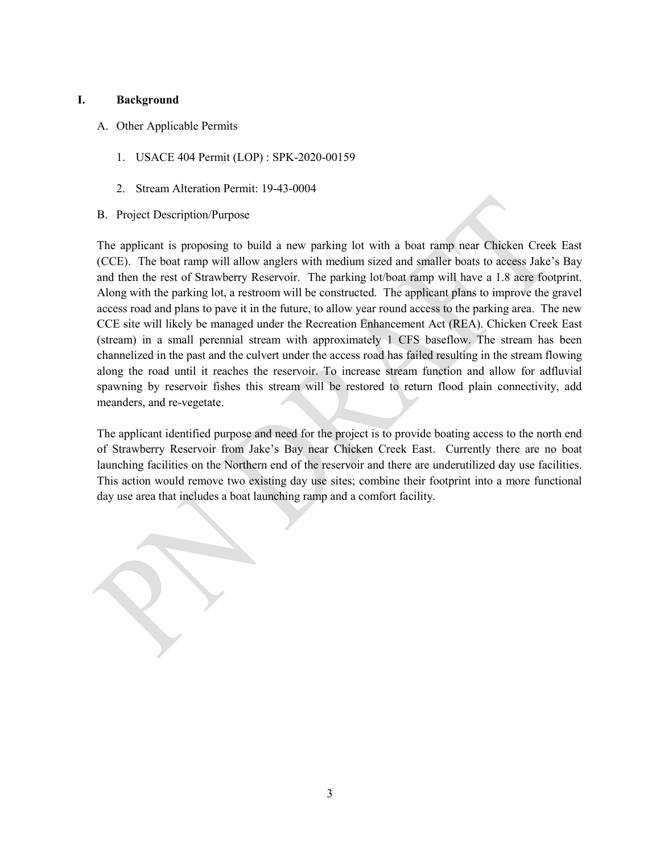## <span id="page-2-1"></span><span id="page-2-0"></span>**I. Background**

- A. Other Applicable Permits
	- 1. USACE 404 Permit (LOP) : SPK-2020-00159
	- 2. Stream Alteration Permit: 19-43-0004
- <span id="page-2-2"></span>B. Project Description/Purpose

The applicant is proposing to build a new parking lot with a boat ramp near Chicken Creek East (CCE). The boat ramp will allow anglers with medium sized and smaller boats to access Jake's Bay and then the rest of Strawberry Reservoir. The parking lot/boat ramp will have a 1.8 acre footprint. Along with the parking lot, a restroom will be constructed. The applicant plans to improve the gravel access road and plans to pave it in the future, to allow year round access to the parking area. The new CCE site will likely be managed under the Recreation Enhancement Act (REA). Chicken Creek East (stream) in a small perennial stream with approximately 1 CFS baseflow. The stream has been channelized in the past and the culvert under the access road has failed resulting in the stream flowing along the road until it reaches the reservoir. To increase stream function and allow for adfluvial spawning by reservoir fishes this stream will be restored to return flood plain connectivity, add meanders, and re-vegetate.

The applicant identified purpose and need for the project is to provide boating access to the north end of Strawberry Reservoir from Jake's Bay near Chicken Creek East. Currently there are no boat launching facilities on the Northern end of the reservoir and there are underutilized day use facilities. This action would remove two existing day use sites; combine their footprint into a more functional day use area that includes a boat launching ramp and a comfort facility.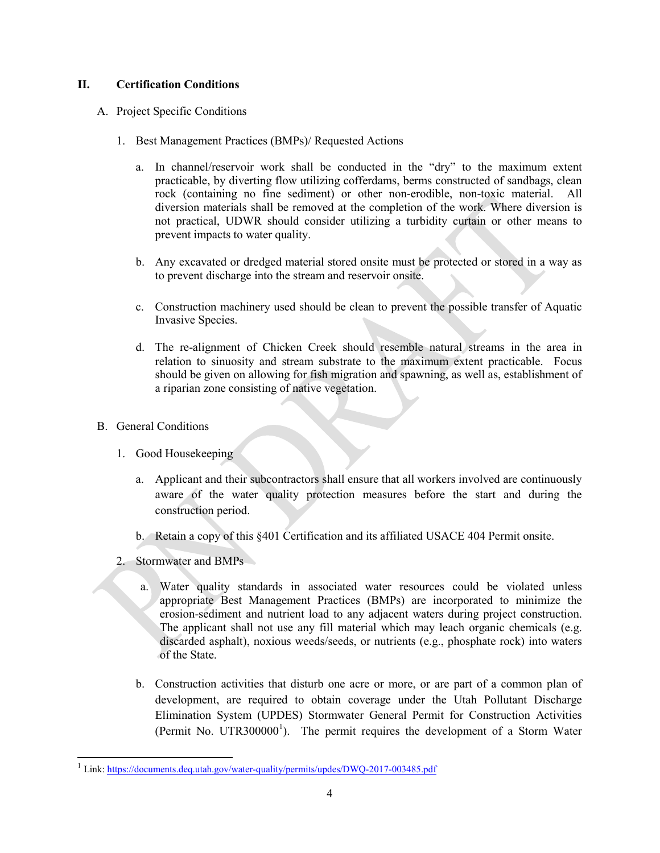## <span id="page-3-0"></span>**II. Certification Conditions**

- <span id="page-3-1"></span>A. Project Specific Conditions
	- 1. Best Management Practices (BMPs)/ Requested Actions
		- a. In channel/reservoir work shall be conducted in the "dry" to the maximum extent practicable, by diverting flow utilizing cofferdams, berms constructed of sandbags, clean rock (containing no fine sediment) or other non-erodible, non-toxic material. All diversion materials shall be removed at the completion of the work. Where diversion is not practical, UDWR should consider utilizing a turbidity curtain or other means to prevent impacts to water quality.
		- b. Any excavated or dredged material stored onsite must be protected or stored in a way as to prevent discharge into the stream and reservoir onsite.
		- c. Construction machinery used should be clean to prevent the possible transfer of Aquatic Invasive Species.
		- d. The re-alignment of Chicken Creek should resemble natural streams in the area in relation to sinuosity and stream substrate to the maximum extent practicable. Focus should be given on allowing for fish migration and spawning, as well as, establishment of a riparian zone consisting of native vegetation.
- <span id="page-3-2"></span>B. General Conditions
	- 1. Good Housekeeping
		- a. Applicant and their subcontractors shall ensure that all workers involved are continuously aware of the water quality protection measures before the start and during the construction period.
		- b. Retain a copy of this §401 Certification and its affiliated USACE 404 Permit onsite.
	- 2. Stormwater and BMPs
		- a. Water quality standards in associated water resources could be violated unless appropriate Best Management Practices (BMPs) are incorporated to minimize the erosion-sediment and nutrient load to any adjacent waters during project construction. The applicant shall not use any fill material which may leach organic chemicals (e.g. discarded asphalt), noxious weeds/seeds, or nutrients (e.g., phosphate rock) into waters of the State.
		- b. Construction activities that disturb one acre or more, or are part of a common plan of development, are required to obtain coverage under the Utah Pollutant Discharge Elimination System (UPDES) Stormwater General Permit for Construction Activities (Permit No. UTR300000 $^1$  $^1$ ). The permit requires the development of a Storm Water

<span id="page-3-3"></span><sup>&</sup>lt;sup>1</sup> Link[: https://documents.deq.utah.gov/water-quality/permits/updes/DWQ-2017-003485.pdf](https://documents.deq.utah.gov/water-quality/permits/updes/DWQ-2017-003485.pdf)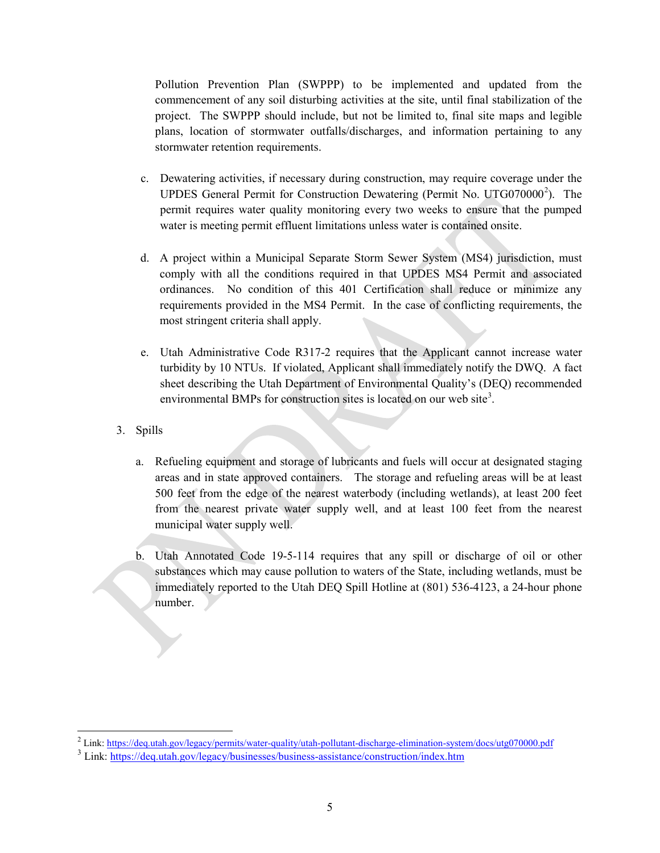Pollution Prevention Plan (SWPPP) to be implemented and updated from the commencement of any soil disturbing activities at the site, until final stabilization of the project. The SWPPP should include, but not be limited to, final site maps and legible plans, location of stormwater outfalls/discharges, and information pertaining to any stormwater retention requirements.

- c. Dewatering activities, if necessary during construction, may require coverage under the UPDES General Permit for Construction Dewatering (Permit No. UTG070000<sup>[2](#page-4-0)</sup>). The permit requires water quality monitoring every two weeks to ensure that the pumped water is meeting permit effluent limitations unless water is contained onsite.
- d. A project within a Municipal Separate Storm Sewer System (MS4) jurisdiction, must comply with all the conditions required in that UPDES MS4 Permit and associated ordinances. No condition of this 401 Certification shall reduce or minimize any requirements provided in the MS4 Permit. In the case of conflicting requirements, the most stringent criteria shall apply.
- e. Utah Administrative Code R317-2 requires that the Applicant cannot increase water turbidity by 10 NTUs. If violated, Applicant shall immediately notify the DWQ. A fact sheet describing the Utah Department of Environmental Quality's (DEQ) recommended environmental BMPs for construction sites is located on our web site<sup>[3](#page-4-1)</sup>.
- 3. Spills
	- a. Refueling equipment and storage of lubricants and fuels will occur at designated staging areas and in state approved containers. The storage and refueling areas will be at least 500 feet from the edge of the nearest waterbody (including wetlands), at least 200 feet from the nearest private water supply well, and at least 100 feet from the nearest municipal water supply well.
	- b. Utah Annotated Code 19-5-114 requires that any spill or discharge of oil or other substances which may cause pollution to waters of the State, including wetlands, must be immediately reported to the Utah DEQ Spill Hotline at (801) 536-4123, a 24-hour phone number.

 <sup>2</sup> Link:<https://deq.utah.gov/legacy/permits/water-quality/utah-pollutant-discharge-elimination-system/docs/utg070000.pdf>

<span id="page-4-1"></span><span id="page-4-0"></span><sup>&</sup>lt;sup>3</sup> Link: https://deq.utah.gov/legacy/businesses/business-assistance/construction/index.htm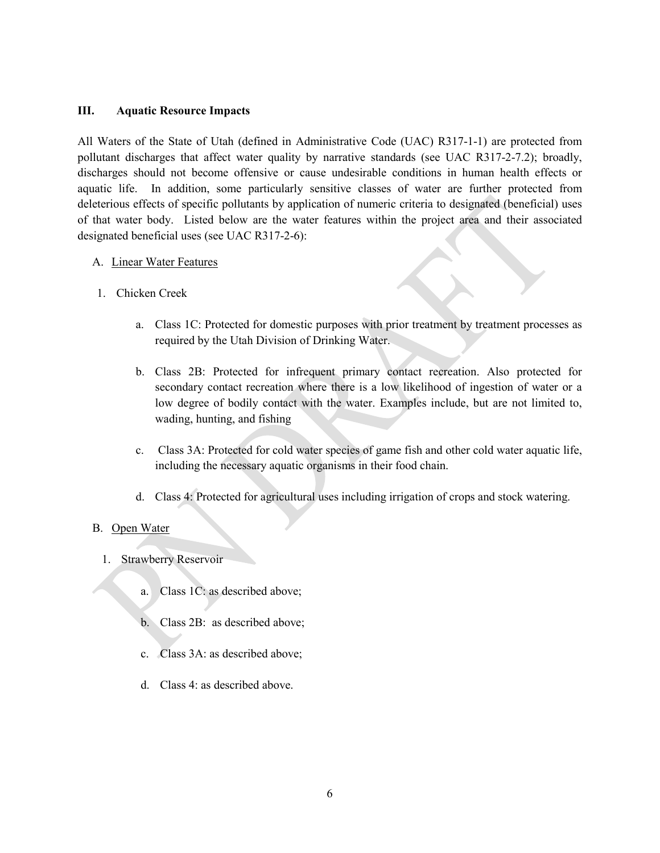#### <span id="page-5-0"></span>**III. Aquatic Resource Impacts**

All Waters of the State of Utah (defined in Administrative Code (UAC) R317-1-1) are protected from pollutant discharges that affect water quality by narrative standards (see UAC R317-2-7.2); broadly, discharges should not become offensive or cause undesirable conditions in human health effects or aquatic life. In addition, some particularly sensitive classes of water are further protected from deleterious effects of specific pollutants by application of numeric criteria to designated (beneficial) uses of that water body. Listed below are the water features within the project area and their associated designated beneficial uses (see UAC R317-2-6):

#### <span id="page-5-1"></span>A. Linear Water Features

- 1. Chicken Creek
	- a. Class 1C: Protected for domestic purposes with prior treatment by treatment processes as required by the Utah Division of Drinking Water.
	- b. Class 2B: Protected for infrequent primary contact recreation. Also protected for secondary contact recreation where there is a low likelihood of ingestion of water or a low degree of bodily contact with the water. Examples include, but are not limited to, wading, hunting, and fishing
	- c. Class 3A: Protected for cold water species of game fish and other cold water aquatic life, including the necessary aquatic organisms in their food chain.
	- d. Class 4: Protected for agricultural uses including irrigation of crops and stock watering.

#### <span id="page-5-2"></span>B. Open Water

- 1. Strawberry Reservoir
	- a. Class 1C: as described above;
	- b. Class 2B: as described above;
	- c. Class 3A: as described above;
	- d. Class 4: as described above.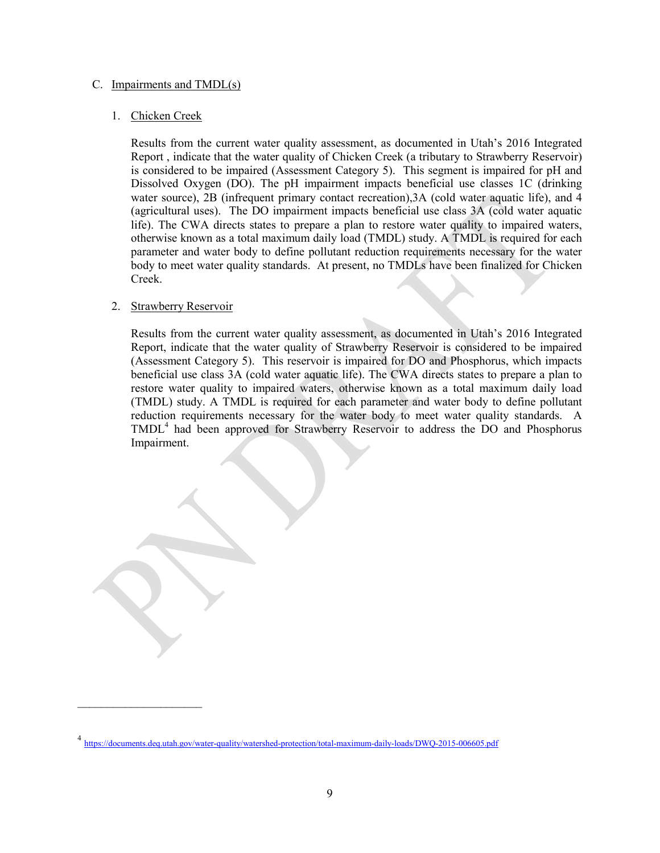#### <span id="page-6-0"></span>C. Impairments and TMDL(s)

#### 1. Chicken Creek

Results from the current water quality assessment, as documented in Utah's 2016 Integrated Report , indicate that the water quality of Chicken Creek (a tributary to Strawberry Reservoir) is considered to be impaired (Assessment Category 5). This segment is impaired for pH and Dissolved Oxygen (DO). The pH impairment impacts beneficial use classes 1C (drinking water source), 2B (infrequent primary contact recreation), 3A (cold water aquatic life), and 4 (agricultural uses). The DO impairment impacts beneficial use class 3A (cold water aquatic life). The CWA directs states to prepare a plan to restore water quality to impaired waters, otherwise known as a total maximum daily load (TMDL) study. A TMDL is required for each parameter and water body to define pollutant reduction requirements necessary for the water body to meet water quality standards. At present, no TMDLs have been finalized for Chicken Creek.

#### 2. Strawberry Reservoir

 $\overline{\phantom{a}}$  , where  $\overline{\phantom{a}}$  , where  $\overline{\phantom{a}}$  , where  $\overline{\phantom{a}}$ 

Results from the current water quality assessment, as documented in Utah's 2016 Integrated Report, indicate that the water quality of Strawberry Reservoir is considered to be impaired (Assessment Category 5). This reservoir is impaired for DO and Phosphorus, which impacts beneficial use class 3A (cold water aquatic life). The CWA directs states to prepare a plan to restore water quality to impaired waters, otherwise known as a total maximum daily load (TMDL) study. A TMDL is required for each parameter and water body to define pollutant reduction requirements necessary for the water body to meet water quality standards. A TMDL4 had been approved for Strawberry Reservoir to address the DO and Phosphorus Impairment.

<sup>4</sup> <https://documents.deq.utah.gov/water-quality/watershed-protection/total-maximum-daily-loads/DWQ-2015-006605.pdf>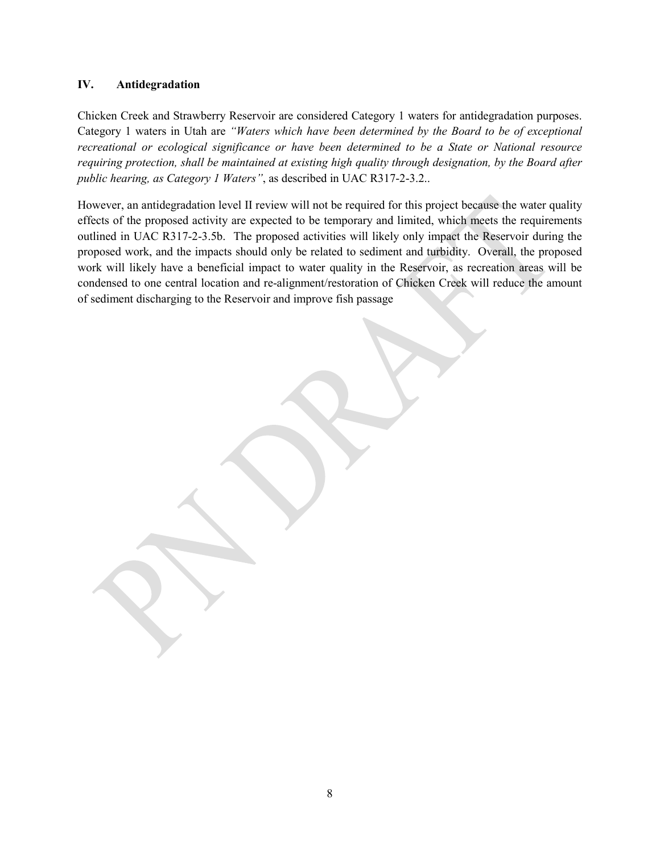## <span id="page-7-0"></span>**IV. Antidegradation**

Chicken Creek and Strawberry Reservoir are considered Category 1 waters for antidegradation purposes. Category 1 waters in Utah are *"Waters which have been determined by the Board to be of exceptional recreational or ecological significance or have been determined to be a State or National resource requiring protection, shall be maintained at existing high quality through designation, by the Board after public hearing, as Category 1 Waters"*, as described in UAC R317-2-3.2..

However, an antidegradation level II review will not be required for this project because the water quality effects of the proposed activity are expected to be temporary and limited, which meets the requirements outlined in UAC R317-2-3.5b. The proposed activities will likely only impact the Reservoir during the proposed work, and the impacts should only be related to sediment and turbidity. Overall, the proposed work will likely have a beneficial impact to water quality in the Reservoir, as recreation areas will be condensed to one central location and re-alignment/restoration of Chicken Creek will reduce the amount of sediment discharging to the Reservoir and improve fish passage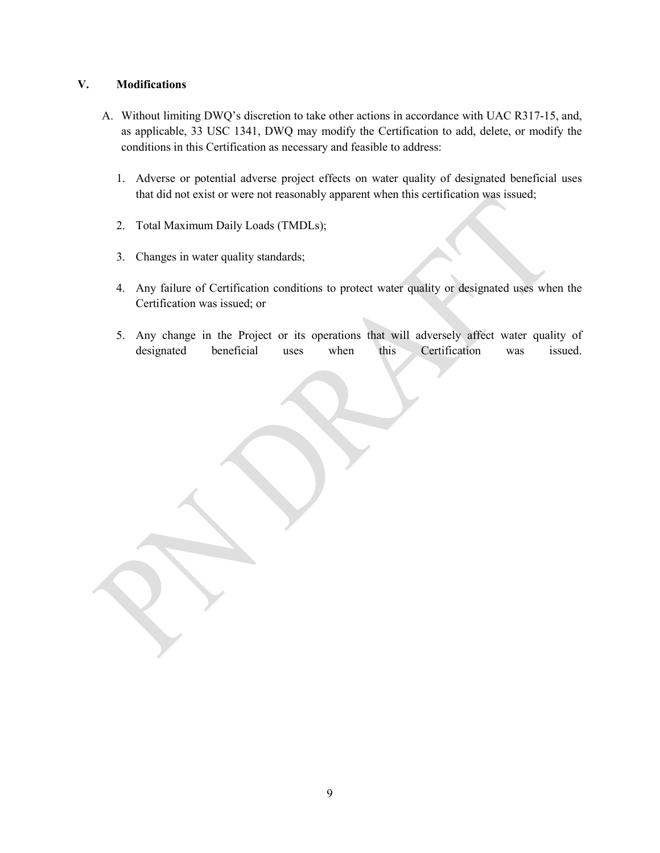## <span id="page-8-0"></span>**V. Modifications**

- A. Without limiting DWQ's discretion to take other actions in accordance with UAC R317-15, and, as applicable, 33 USC 1341, DWQ may modify the Certification to add, delete, or modify the conditions in this Certification as necessary and feasible to address:
	- 1. Adverse or potential adverse project effects on water quality of designated beneficial uses that did not exist or were not reasonably apparent when this certification was issued;
	- 2. Total Maximum Daily Loads (TMDLs);
	- 3. Changes in water quality standards;
	- 4. Any failure of Certification conditions to protect water quality or designated uses when the Certification was issued; or
	- 5. Any change in the Project or its operations that will adversely affect water quality of designated beneficial uses when this Certification was issued.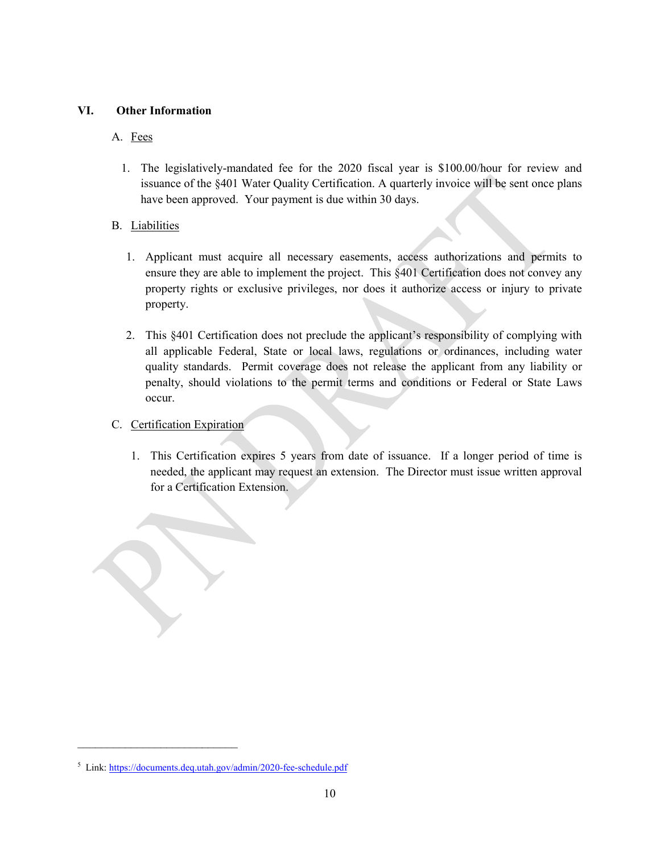## <span id="page-9-1"></span><span id="page-9-0"></span>**VI. Other Information**

## A. Fees

1. The legislatively-mandated fee for the 2020 fiscal year is \$100.00/hour for review and issuance of the §401 Water Quality Certification. A quarterly invoice will be sent once plans have been approved. Your payment is due within 30 days.

## <span id="page-9-2"></span>B. Liabilities

- 1. Applicant must acquire all necessary easements, access authorizations and permits to ensure they are able to implement the project. This §401 Certification does not convey any property rights or exclusive privileges, nor does it authorize access or injury to private property.
- 2. This §401 Certification does not preclude the applicant's responsibility of complying with all applicable Federal, State or local laws, regulations or ordinances, including water quality standards. Permit coverage does not release the applicant from any liability or penalty, should violations to the permit terms and conditions or Federal or State Laws occur.

## <span id="page-9-3"></span>C. Certification Expiration

1. This Certification expires 5 years from date of issuance. If a longer period of time is needed, the applicant may request an extension. The Director must issue written approval for a Certification Extension.

\_\_\_\_\_\_\_\_\_\_\_\_\_\_\_\_\_\_\_\_\_\_\_\_\_\_\_

<sup>&</sup>lt;sup>5</sup> Link:<https://documents.deq.utah.gov/admin/2020-fee-schedule.pdf>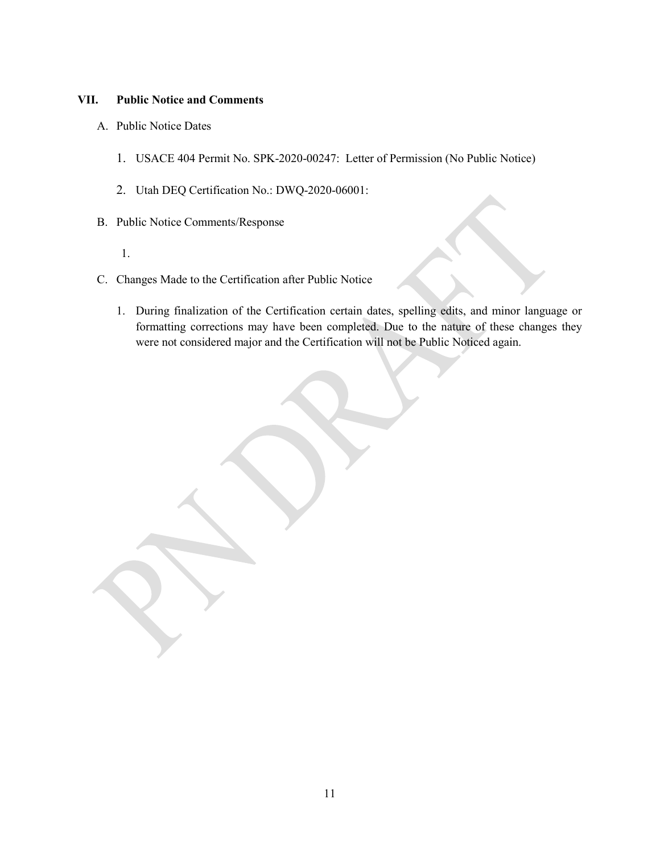#### <span id="page-10-1"></span><span id="page-10-0"></span>**VII. Public Notice and Comments**

- A. Public Notice Dates
	- 1. USACE 404 Permit No. SPK-2020-00247: Letter of Permission (No Public Notice)
	- 2. Utah DEQ Certification No.: DWQ-2020-06001:
- <span id="page-10-2"></span>B. Public Notice Comments/Response
	- 1.
- <span id="page-10-3"></span>C. Changes Made to the Certification after Public Notice
	- 1. During finalization of the Certification certain dates, spelling edits, and minor language or formatting corrections may have been completed. Due to the nature of these changes they were not considered major and the Certification will not be Public Noticed again.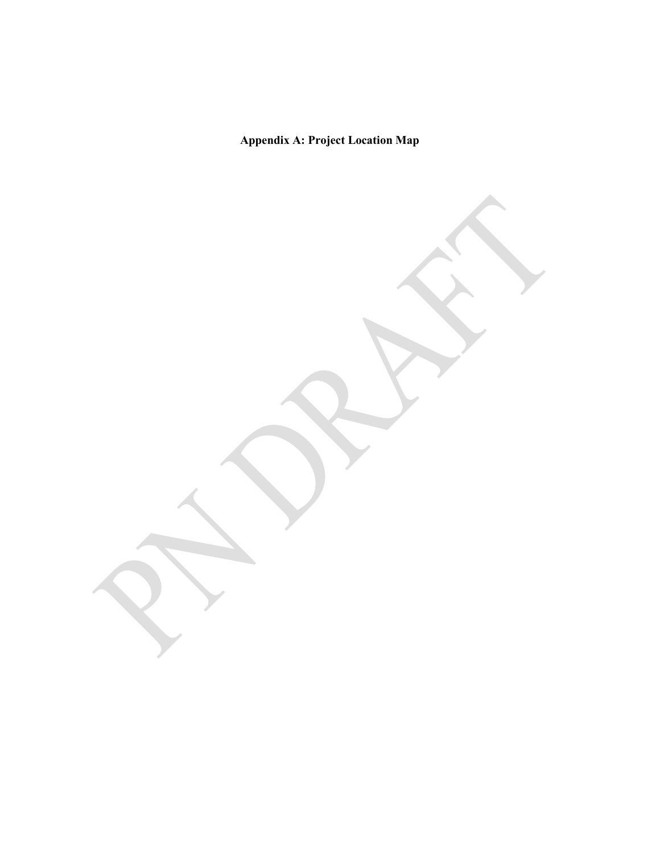**Appendix A: Project Location Map**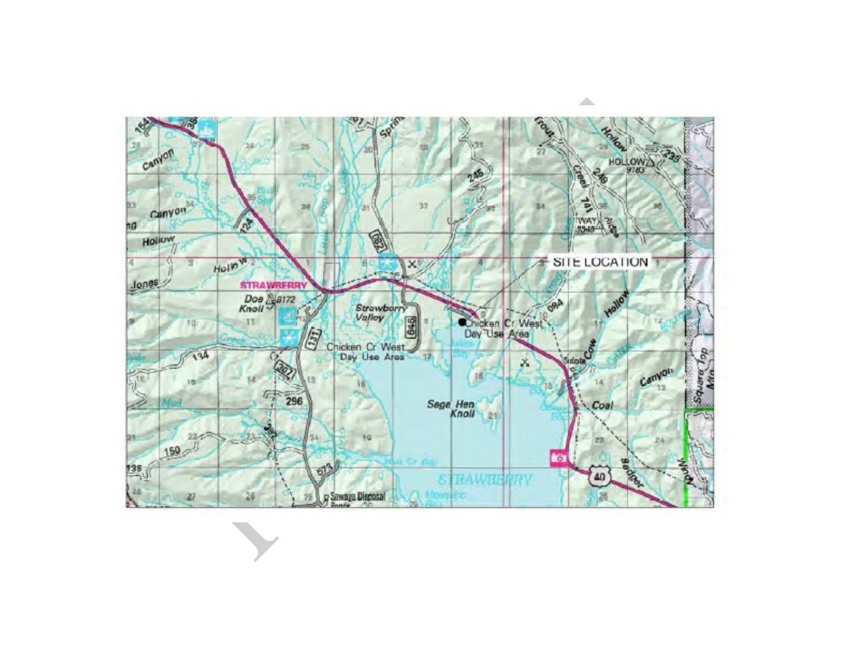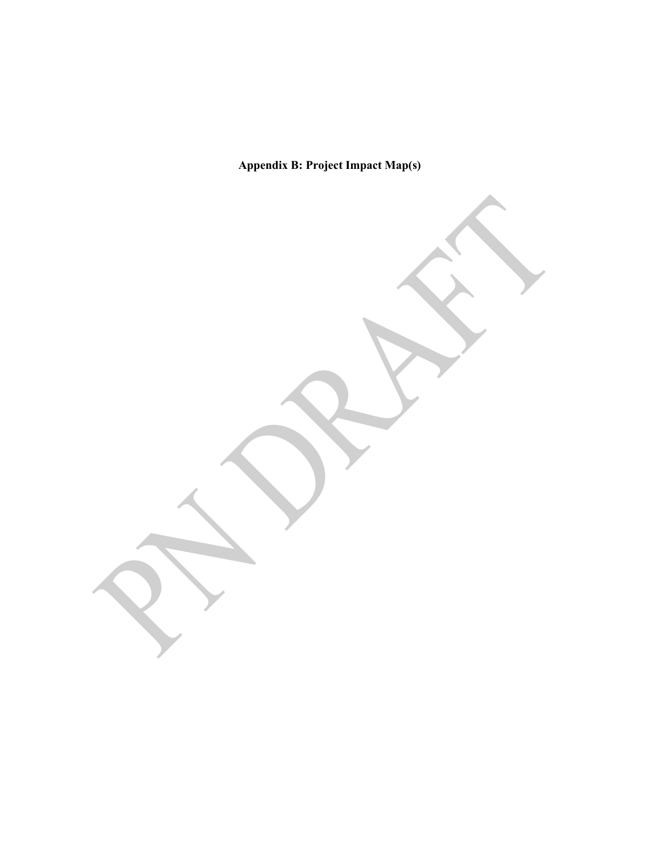**Appendix B: Project Impact Map(s)**